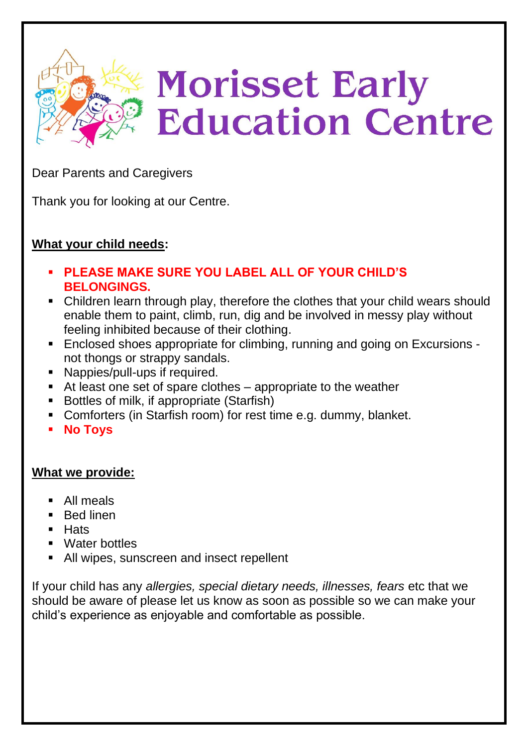

Dear Parents and Caregivers

Thank you for looking at our Centre.

## **What your child needs:**

- **PLEASE MAKE SURE YOU LABEL ALL OF YOUR CHILD'S BELONGINGS.**
- Children learn through play, therefore the clothes that your child wears should enable them to paint, climb, run, dig and be involved in messy play without feeling inhibited because of their clothing.
- Enclosed shoes appropriate for climbing, running and going on Excursions not thongs or strappy sandals.
- Nappies/pull-ups if required.
- At least one set of spare clothes appropriate to the weather
- Bottles of milk, if appropriate (Starfish)
- Comforters (in Starfish room) for rest time e.g. dummy, blanket.
- **No Toys**

#### **What we provide:**

- All meals
- Bed linen
- Hats
- Water bottles
- All wipes, sunscreen and insect repellent

If your child has any *allergies, special dietary needs, illnesses, fears* etc that we should be aware of please let us know as soon as possible so we can make your child's experience as enjoyable and comfortable as possible.